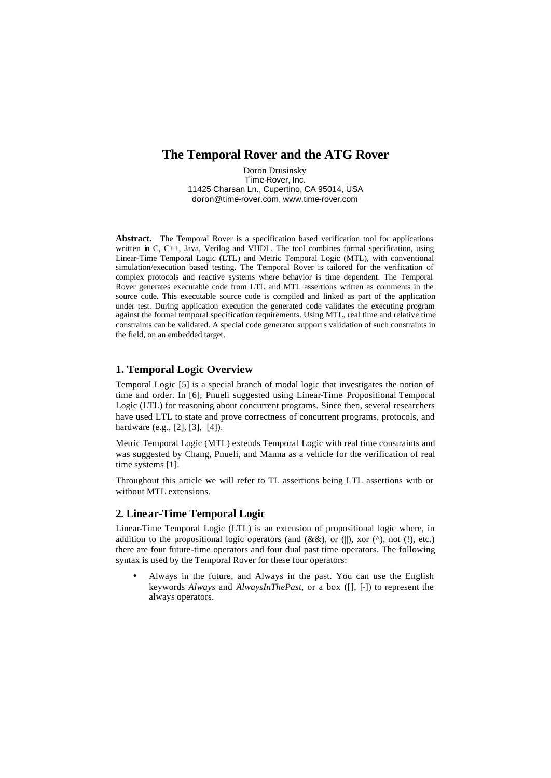# **The Temporal Rover and the ATG Rover**

Doron Drusinsky Time-Rover, Inc. 11425 Charsan Ln., Cupertino, CA 95014, USA doron@time-rover.com, www.time-rover.com

**Abstract.** The Temporal Rover is a specification based verification tool for applications written in C, C++, Java, Verilog and VHDL. The tool combines formal specification, using Linear-Time Temporal Logic (LTL) and Metric Temporal Logic (MTL), with conventional simulation/execution based testing. The Temporal Rover is tailored for the verification of complex protocols and reactive systems where behavior is time dependent. The Temporal Rover generates executable code from LTL and MTL assertions written as comments in the source code. This executable source code is compiled and linked as part of the application under test. During application execution the generated code validates the executing program against the formal temporal specification requirements. Using MTL, real time and relative time constraints can be validated. A special code generator supports validation of such constraints in the field, on an embedded target.

## **1. Temporal Logic Overview**

Temporal Logic [5] is a special branch of modal logic that investigates the notion of time and order. In [6], Pnueli suggested using Linear-Time Propositional Temporal Logic (LTL) for reasoning about concurrent programs. Since then, several researchers have used LTL to state and prove correctness of concurrent programs, protocols, and hardware (e.g., [2], [3], [4]).

Metric Temporal Logic (MTL) extends Temporal Logic with real time constraints and was suggested by Chang, Pnueli, and Manna as a vehicle for the verification of real time systems [1].

Throughout this article we will refer to TL assertions being LTL assertions with or without MTL extensions.

## **2. Linear-Time Temporal Logic**

Linear-Time Temporal Logic (LTL) is an extension of propositional logic where, in addition to the propositional logic operators (and  $(\&\&$ ), or (||), xor ( $\land$ ), not (!), etc.) there are four future-time operators and four dual past time operators. The following syntax is used by the Temporal Rover for these four operators:

• Always in the future, and Always in the past. You can use the English keywords *Always* and *AlwaysInThePast*, or a box ([], [-]) to represent the always operators.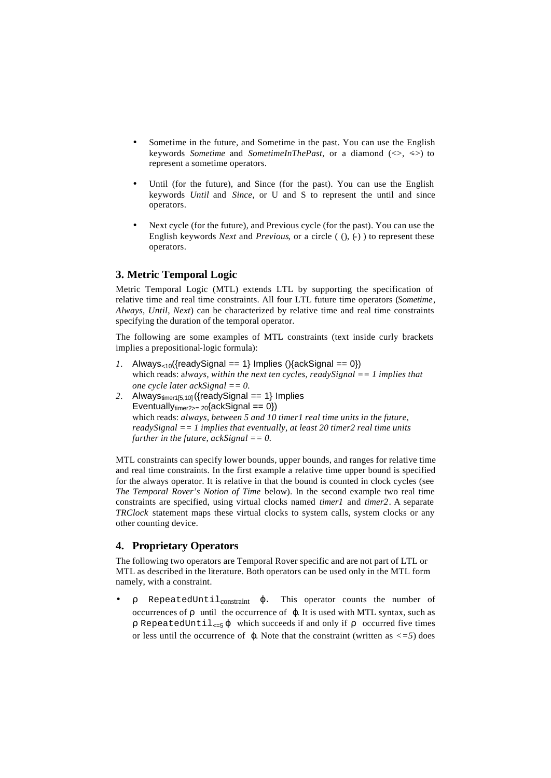- Sometime in the future, and Sometime in the past. You can use the English keywords *Sometime* and *SometimeInThePast*, or a diamond  $(\leq, \leq)$  to represent a sometime operators.
- Until (for the future), and Since (for the past). You can use the English keywords *Until* and *Since*, or U and S to represent the until and since operators.
- Next cycle (for the future), and Previous cycle (for the past). You can use the English keywords *Next* and *Previous*, or a circle ( (), (-) ) to represent these operators.

## **3. Metric Temporal Logic**

Metric Temporal Logic (MTL) extends LTL by supporting the specification of relative time and real time constraints. All four LTL future time operators (*Sometime*, *Always*, *Until*, *Next*) can be characterized by relative time and real time constraints specifying the duration of the temporal operator.

The following are some examples of MTL constraints (text inside curly brackets implies a prepositional-logic formula):

- *1.* Always<sub><10</sub>({readySignal == 1} Implies (){ackSignal == 0}) which reads: a*lways, within the next ten cycles, readySignal == 1 implies that one cycle later ackSignal == 0.*
- 2. Always<sub>timer1[5,10]</sub> ({readySignal == 1} Implies Eventually $_{\text{timer2}>=20}$ {ackSignal == 0}) which reads: *always, between 5 and 10 timer1 real time units in the future, readySignal == 1 implies that eventually, at least 20 timer2 real time units further in the future, ackSignal == 0.*

MTL constraints can specify lower bounds, upper bounds, and ranges for relative time and real time constraints. In the first example a relative time upper bound is specified for the always operator. It is relative in that the bound is counted in clock cycles (see *The Temporal Rover's Notion of Time* below). In the second example two real time constraints are specified, using virtual clocks named *timer1* and *timer2*. A separate *TRClock* statement maps these virtual clocks to system calls, system clocks or any other counting device.

## **4. Proprietary Operators**

The following two operators are Temporal Rover specific and are not part of LTL or MTL as described in the literature. Both operators can be used only in the MTL form namely, with a constraint.

• ρ RepeatedUntilconstraint ϕ. This operator counts the number of occurrences of ρ until the occurrence of ϕ. It is used with MTL syntax, such as ρ RepeatedUntil<=5 ϕ which succeeds if and only if ρ occurred five times or less until the occurrence of ϕ. Note that the constraint (written as *<=5*) does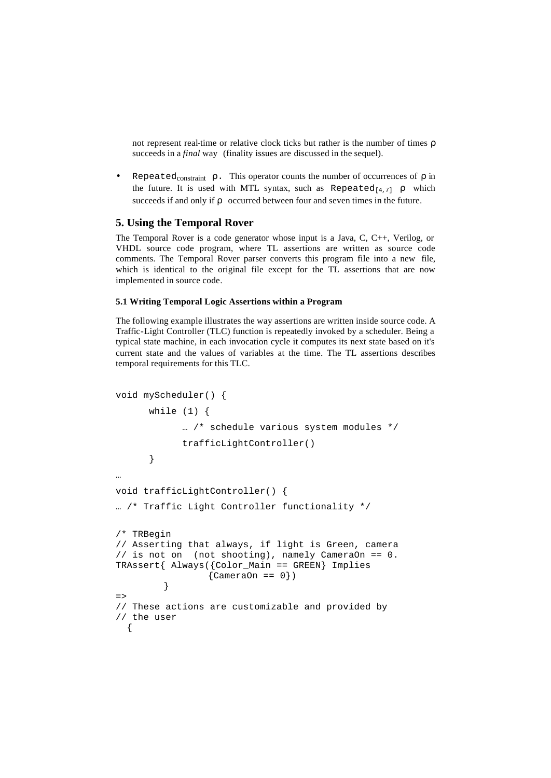not represent real-time or relative clock ticks but rather is the number of times ρ succeeds in a *final* way (finality issues are discussed in the sequel).

• Repeated $_{\text{constraint}}$   $\rho$ . This operator counts the number of occurrences of  $\rho$  in the future. It is used with MTL syntax, such as Repeated<sub>[4,7]</sub>  $\rho$  which succeeds if and only if  $\rho$  occurred between four and seven times in the future.

## **5. Using the Temporal Rover**

The Temporal Rover is a code generator whose input is a Java, C, C++, Verilog, or VHDL source code program, where TL assertions are written as source code comments. The Temporal Rover parser converts this program file into a new file, which is identical to the original file except for the TL assertions that are now implemented in source code.

#### **5.1 Writing Temporal Logic Assertions within a Program**

The following example illustrates the way assertions are written inside source code. A Traffic-Light Controller (TLC) function is repeatedly invoked by a scheduler. Being a typical state machine, in each invocation cycle it computes its next state based on it's current state and the values of variables at the time. The TL assertions describes temporal requirements for this TLC.

```
void myScheduler() {
      while (1) {
            … /* schedule various system modules */
            trafficLightController()
      }
…
void trafficLightController() {
… /* Traffic Light Controller functionality */
/* TRBegin
// Asserting that always, if light is Green, camera 
// is not on (not shooting), namely CameraOn == 0. 
TRAssert{ Always({Color_Main == GREEN} Implies 
                 {CameraOn = 0} }
\Rightarrow// These actions are customizable and provided by 
// the user
   {
```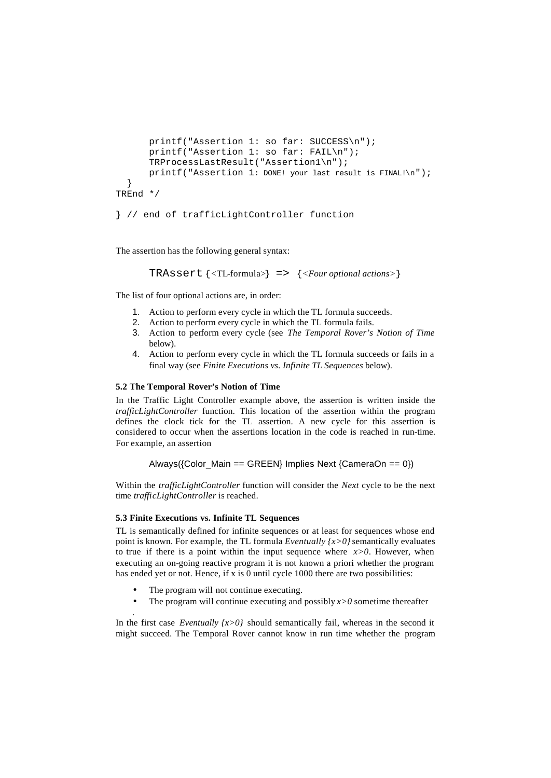```
printf("Assertion 1: so far: SUCCESS\n"); 
      printf("Assertion 1: so far: FAIL\n"); 
      TRProcessLastResult("Assertion1\n");
      printf("Assertion 1: DONE! your last result is FINAL!\n");
   }
TREnd */
```

```
} // end of trafficLightController function
```
The assertion has the following general syntax:

TRAssert {*<*TL-formula>} => {*<Four optional actions>*}

The list of four optional actions are, in order:

- 1. Action to perform every cycle in which the TL formula succeeds.
- 2. Action to perform every cycle in which the TL formula fails.
- 3. Action to perform every cycle (see *The Temporal Rover's Notion of Time* below).
- 4. Action to perform every cycle in which the TL formula succeeds or fails in a final way (see *Finite Executions vs. Infinite TL Sequences* below).

#### **5.2 The Temporal Rover's Notion of Time**

In the Traffic Light Controller example above, the assertion is written inside the *trafficLightController* function. This location of the assertion within the program defines the clock tick for the TL assertion. A new cycle for this assertion is considered to occur when the assertions location in the code is reached in run-time. For example, an assertion

Always({Color\_Main == GREEN} Implies Next {CameraOn == 0})

Within the *trafficLightController* function will consider the *Next* cycle to be the next time *trafficLightController* is reached.

#### **5.3 Finite Executions vs. Infinite TL Sequences**

TL is semantically defined for infinite sequences or at least for sequences whose end point is known. For example, the TL formula *Eventually*  $\{x>0\}$  semantically evaluates to true if there is a point within the input sequence where  $x>0$ . However, when executing an on-going reactive program it is not known a priori whether the program has ended yet or not. Hence, if x is 0 until cycle 1000 there are two possibilities:

The program will not continue executing.

.

• The program will continue executing and possibly  $x > 0$  sometime thereafter

In the first case *Eventually {x>0}* should semantically fail, whereas in the second it might succeed. The Temporal Rover cannot know in run time whether the program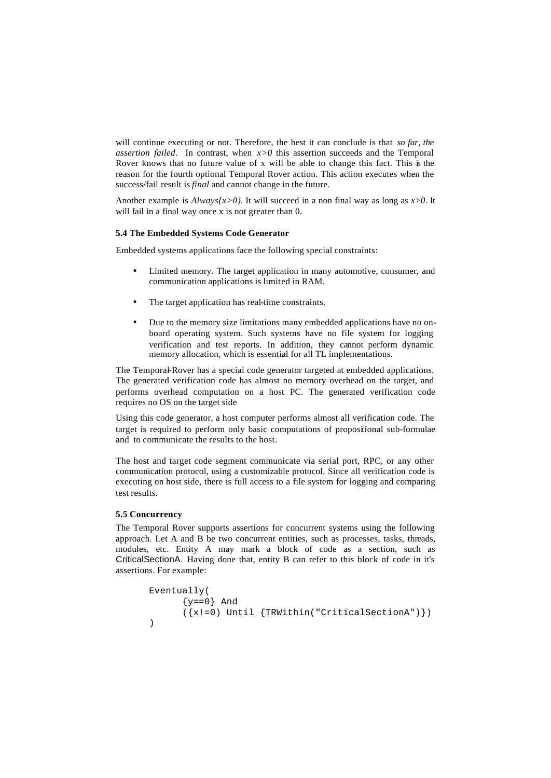will continue executing or not. Therefore, the best it can conclude is that *so far, the assertion failed*. In contrast, when  $x>0$  this assertion succeeds and the Temporal Rover knows that no future value of  $x$  will be able to change this fact. This is the reason for the fourth optional Temporal Rover action. This action executes when the success/fail result is *final* and cannot change in the future.

Another example is *Always{x>0}*. It will succeed in a non final way as long as *x>0*. It will fail in a final way once x is not greater than 0.

#### **5.4 The Embedded Systems Code Generator**

Embedded systems applications face the following special constraints:

- Limited memory. The target application in many automotive, consumer, and communication applications is limited in RAM.
- The target application has real-time constraints.
- Due to the memory size limitations many embedded applications have no onboard operating system. Such systems have no file system for logging verification and test reports. In addition, they cannot perform dynamic memory allocation, which is essential for all TL implementations.

The Temporal-Rover has a special code generator targeted at embedded applications. The generated verification code has almost no memory overhead on the target, and performs overhead computation on a host PC. The generated verification code requires no OS on the target side

Using this code generator, a host computer performs almost all verification code. The target is required to perform only basic computations of propositional sub-formulae and to communicate the results to the host.

The host and target code segment communicate via serial port, RPC, or any other communication protocol, using a customizable protocol. Since all verification code is executing on host side, there is full access to a file system for logging and comparing test results.

## **5.5 Concurrency**

The Temporal Rover supports assertions for concurrent systems using the following approach. Let A and B be two concurrent entities, such as processes, tasks, threads, modules, etc. Entity A may mark a block of code as a section, such as CriticalSectionA. Having done that, entity B can refer to this block of code in it's assertions. For example:

```
Eventually( 
      \{y==0\} And
      ({x:=0}) Until {TRWithin("CriticalSectionA")}))
```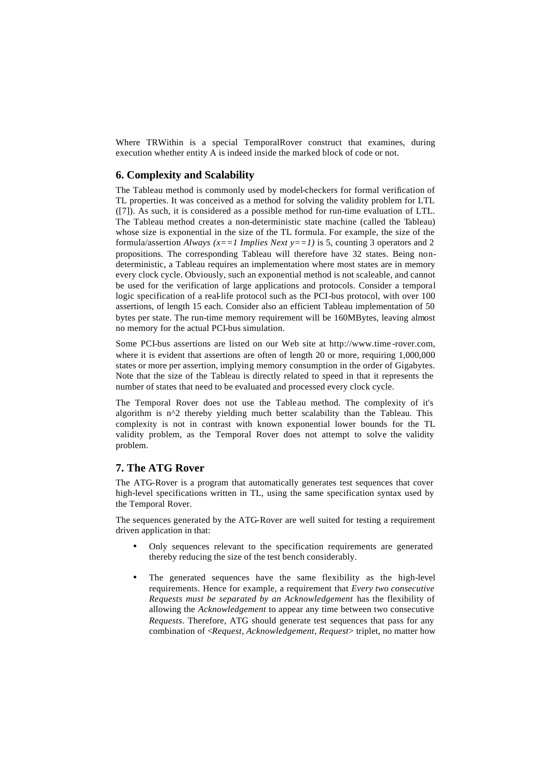Where TRWithin is a special TemporalRover construct that examines, during execution whether entity A is indeed inside the marked block of code or not.

## **6. Complexity and Scalability**

The Tableau method is commonly used by model-checkers for formal verification of TL properties. It was conceived as a method for solving the validity problem for LTL ([7]). As such, it is considered as a possible method for run-time evaluation of LTL. The Tableau method creates a non-deterministic state machine (called the Tableau) whose size is exponential in the size of the TL formula. For example, the size of the formula/assertion *Always* ( $x = 1$  *Implies Next y* = 1) is 5, counting 3 operators and 2 propositions. The corresponding Tableau will therefore have 32 states. Being nondeterministic, a Tableau requires an implementation where most states are in memory every clock cycle. Obviously, such an exponential method is not scaleable, and cannot be used for the verification of large applications and protocols. Consider a temporal logic specification of a real-life protocol such as the PCI-bus protocol, with over 100 assertions, of length 15 each. Consider also an efficient Tableau implementation of 50 bytes per state. The run-time memory requirement will be 160MBytes, leaving almost no memory for the actual PCI-bus simulation.

Some PCI-bus assertions are listed on our Web site at http://www.time -rover.com, where it is evident that assertions are often of length 20 or more, requiring 1,000,000 states or more per assertion, implying memory consumption in the order of Gigabytes. Note that the size of the Tableau is directly related to speed in that it represents the number of states that need to be evaluated and processed every clock cycle.

The Temporal Rover does not use the Tableau method. The complexity of it's algorithm is n^2 thereby yielding much better scalability than the Tableau. This complexity is not in contrast with known exponential lower bounds for the TL validity problem, as the Temporal Rover does not attempt to solve the validity problem.

### **7. The ATG Rover**

The ATG-Rover is a program that automatically generates test sequences that cover high-level specifications written in TL, using the same specification syntax used by the Temporal Rover.

The sequences generated by the ATG-Rover are well suited for testing a requirement driven application in that:

- Only sequences relevant to the specification requirements are generated thereby reducing the size of the test bench considerably.
- The generated sequences have the same flexibility as the high-level requirements. Hence for example, a requirement that *Every two consecutive Requests must be separated by an Acknowledgement* has the flexibility of allowing the *Acknowledgement* to appear any time between two consecutive *Requests*. Therefore, ATG should generate test sequences that pass for any combination of <*Request, Acknowledgement, Request*> triplet, no matter how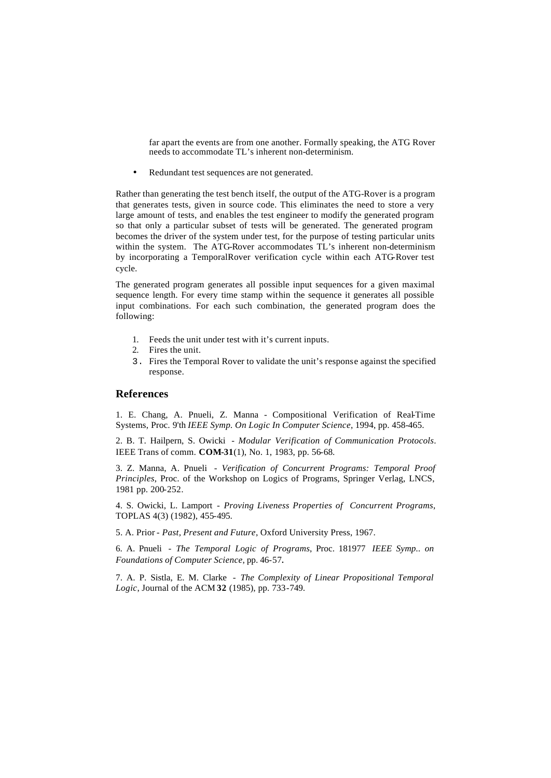far apart the events are from one another. Formally speaking, the ATG Rover needs to accommodate TL's inherent non-determinism.

• Redundant test sequences are not generated.

Rather than generating the test bench itself, the output of the ATG-Rover is a program that generates tests, given in source code. This eliminates the need to store a very large amount of tests, and enables the test engineer to modify the generated program so that only a particular subset of tests will be generated. The generated program becomes the driver of the system under test, for the purpose of testing particular units within the system. The ATG-Rover accommodates TL's inherent non-determinism by incorporating a TemporalRover verification cycle within each ATG-Rover test cycle.

The generated program generates all possible input sequences for a given maximal sequence length. For every time stamp within the sequence it generates all possible input combinations. For each such combination, the generated program does the following:

- 1. Feeds the unit under test with it's current inputs.
- 2. Fires the unit.
- 3. Fires the Temporal Rover to validate the unit's response against the specified response.

### **References**

1. E. Chang, A. Pnueli, Z. Manna - Compositional Verification of Real-Time Systems, Proc. 9'th *IEEE Symp. On Logic In Computer Science*, 1994, pp. 458-465.

2. B. T. Hailpern, S. Owicki - *Modular Verification of Communication Protocols*. IEEE Trans of comm. **COM-31**(1), No. 1, 1983, pp. 56-68.

3. Z. Manna, A. Pnueli - *Verification of Concurrent Programs: Temporal Proof Principles*, Proc. of the Workshop on Logics of Programs, Springer Verlag, LNCS, 1981 pp. 200-252.

4. S. Owicki, L. Lamport - *Proving Liveness Properties of Concurrent Programs*, TOPLAS 4(3) (1982), 455-495.

5. A. Prior - *Past, Present and Future*, Oxford University Press, 1967.

6. A. Pnueli - *The Temporal Logic of Programs*, Proc. 181977 *IEEE Symp.. on Foundations of Computer Science*, pp. 46-57.

7. A. P. Sistla, E. M. Clarke - *The Complexity of Linear Propositional Temporal Logic*, Journal of the ACM **32** (1985), pp. 733-749.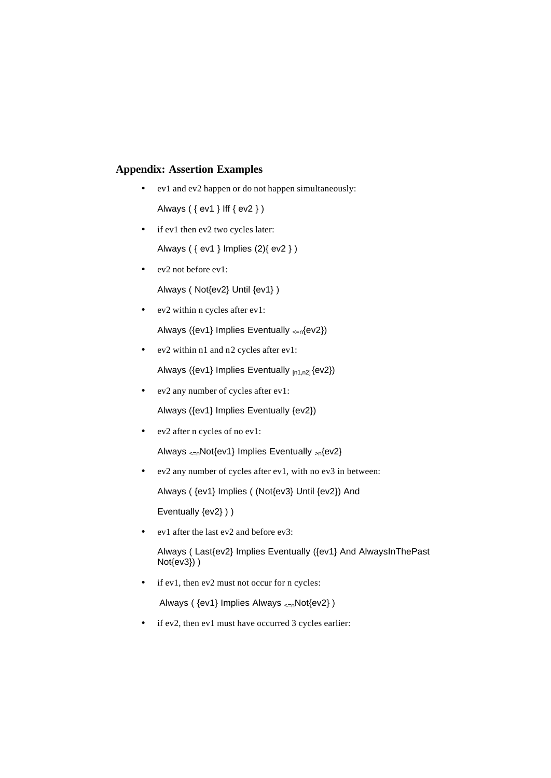# **Appendix: Assertion Examples**

- ev1 and ev2 happen or do not happen simultaneously: Always  $({\text{ev1}}$   ${\text{lff}}$   ${\text{ev2}}$   ${\text{}}$
- if ev1 then ev2 two cycles later: Always ( { ev1 } Implies (2){ ev2 } )
- ev2 not before ev1:

Always ( Not{ev2} Until {ev1} )

- ev2 within n cycles after ev1: Always ( $\{ev1\}$  Implies Eventually  $\leftarrow$   $\{ev2\}$ )
- ev2 within n1 and n2 cycles after ev1: Always ( $\{ev1\}$  Implies Eventually  $_{[n1,n2]}$  $\{ev2\}$ )
- ev2 any number of cycles after ev1: Always ({ev1} Implies Eventually {ev2})
- ev2 after n cycles of no ev1:

Always  $\leq n$ Not{ev1} Implies Eventually  $\leq n$ {ev2}

• ev2 any number of cycles after ev1, with no ev3 in between:

Always ( {ev1} Implies ( (Not{ev3} Until {ev2}) And

Eventually {ev2} ) )

• ev1 after the last ev2 and before ev3:

Always ( Last{ev2} Implies Eventually ({ev1} And AlwaysInThePast Not{ev3}) )

• if ev1, then ev2 must not occur for n cycles:

Always ( $\{ev1\}$  Implies Always  $\{ev1\}$ )

• if ev2, then ev1 must have occurred 3 cycles earlier: